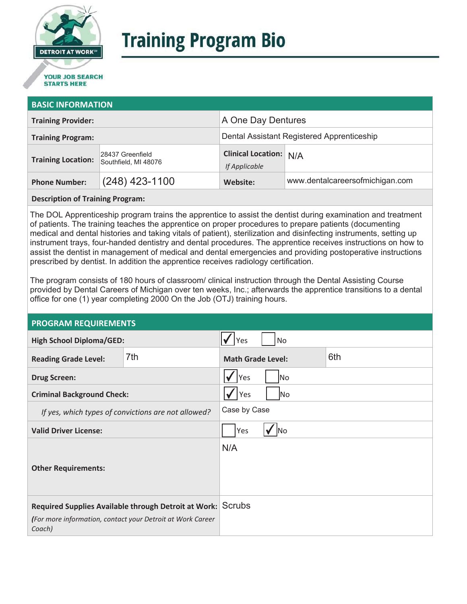

# **Training Program Bio**

# **STARTS HERE**

#### **BASIC INFORMATION**

| <b>Training Provider:</b> |                                          | A One Day Dentures                         |                                 |
|---------------------------|------------------------------------------|--------------------------------------------|---------------------------------|
| <b>Training Program:</b>  |                                          | Dental Assistant Registered Apprenticeship |                                 |
| <b>Training Location:</b> | 28437 Greenfield<br>Southfield, MI 48076 | Clinical Location: N/A<br>If Applicable    |                                 |
| <b>Phone Number:</b>      | $(248)$ 423-1100                         | Website:                                   | www.dentalcareersofmichigan.com |

#### **Description of Training Program:**

The DOL Apprenticeship program trains the apprentice to assist the dentist during examination and treatment of patients. The training teaches the apprentice on proper procedures to prepare patients (documenting medical and dental histories and taking vitals of patient), sterilization and disinfecting instruments, setting up instrument trays, four-handed dentistry and dental procedures. The apprentice receives instructions on how to assist the dentist in management of medical and dental emergencies and providing postoperative instructions prescribed by dentist. In addition the apprentice receives radiology certification.

The program consists of 180 hours of classroom/ clinical instruction through the Dental Assisting Course provided by Dental Careers of Michigan over ten weeks, Inc.; afterwards the apprentice transitions to a dental office for one (1) year completing 2000 On the Job (OTJ) training hours.

### **PROGRAM REQUIREMENTS**

| <b>High School Diploma/GED:</b>                                                                                           |     | <b>Yes</b>                      | No |  |
|---------------------------------------------------------------------------------------------------------------------------|-----|---------------------------------|----|--|
| <b>Reading Grade Level:</b>                                                                                               | 7th | 6th<br><b>Math Grade Level:</b> |    |  |
| <b>Drug Screen:</b>                                                                                                       |     | Yes<br> No                      |    |  |
| <b>Criminal Background Check:</b>                                                                                         |     | Yes<br> No                      |    |  |
| If yes, which types of convictions are not allowed?                                                                       |     | Case by Case                    |    |  |
| <b>Valid Driver License:</b>                                                                                              |     | Yes<br>lNo                      |    |  |
| <b>Other Requirements:</b>                                                                                                |     | N/A                             |    |  |
| Required Supplies Available through Detroit at Work: Scrubs<br>(For more information, contact your Detroit at Work Career |     |                                 |    |  |
| Coach)                                                                                                                    |     |                                 |    |  |